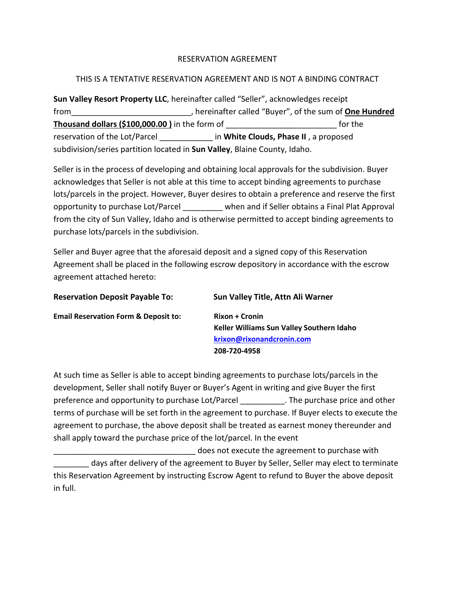## RESERVATION AGREEMENT

# THIS IS A TENTATIVE RESERVATION AGREEMENT AND IS NOT A BINDING CONTRACT

**Sun Valley Resort Property LLC**, hereinafter called "Seller", acknowledges receipt from\_\_\_\_\_\_\_\_\_\_\_\_\_\_\_\_\_\_\_\_\_\_\_\_\_\_\_, hereinafter called "Buyer", of the sum of **One Hundred Thousand dollars (\$100,000.00 )** in the form of \_\_\_\_\_\_\_\_\_\_\_\_\_\_\_\_\_\_\_\_\_\_\_\_\_ for the reservation of the Lot/Parcel \_\_\_\_\_\_\_\_\_\_\_\_ in **White Clouds, Phase II** , a proposed subdivision/series partition located in **Sun Valley**, Blaine County, Idaho.

Seller is in the process of developing and obtaining local approvals for the subdivision. Buyer acknowledges that Seller is not able at this time to accept binding agreements to purchase lots/parcels in the project. However, Buyer desires to obtain a preference and reserve the first opportunity to purchase Lot/Parcel \_\_\_\_\_\_\_\_\_ when and if Seller obtains a Final Plat Approval from the city of Sun Valley, Idaho and is otherwise permitted to accept binding agreements to purchase lots/parcels in the subdivision.

Seller and Buyer agree that the aforesaid deposit and a signed copy of this Reservation Agreement shall be placed in the following escrow depository in accordance with the escrow agreement attached hereto:

| <b>Reservation Deposit Payable To:</b>          | Sun Valley Title, Attn Ali Warner         |
|-------------------------------------------------|-------------------------------------------|
| <b>Email Reservation Form &amp; Deposit to:</b> | <b>Rixon + Cronin</b>                     |
|                                                 | Keller Williams Sun Valley Southern Idaho |
|                                                 | krixon@rixonandcronin.com                 |
|                                                 | 208-720-4958                              |

At such time as Seller is able to accept binding agreements to purchase lots/parcels in the development, Seller shall notify Buyer or Buyer's Agent in writing and give Buyer the first preference and opportunity to purchase Lot/Parcel \_\_\_\_\_\_\_\_\_\_. The purchase price and other terms of purchase will be set forth in the agreement to purchase. If Buyer elects to execute the agreement to purchase, the above deposit shall be treated as earnest money thereunder and shall apply toward the purchase price of the lot/parcel. In the event

\_\_\_\_\_\_\_\_\_\_\_\_\_\_\_\_\_\_\_\_\_\_\_\_\_\_\_\_\_\_\_\_ does not execute the agreement to purchase with days after delivery of the agreement to Buyer by Seller, Seller may elect to terminate this Reservation Agreement by instructing Escrow Agent to refund to Buyer the above deposit in full.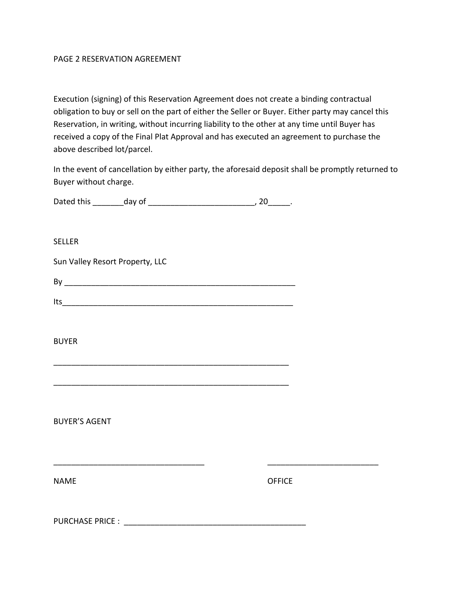### PAGE 2 RESERVATION AGREEMENT

Execution (signing) of this Reservation Agreement does not create a binding contractual obligation to buy or sell on the part of either the Seller or Buyer. Either party may cancel this Reservation, in writing, without incurring liability to the other at any time until Buyer has received a copy of the Final Plat Approval and has executed an agreement to purchase the above described lot/parcel.

In the event of cancellation by either party, the aforesaid deposit shall be promptly returned to Buyer without charge.

| Dated this | day of |  |
|------------|--------|--|
|            |        |  |

### SELLER

Sun Valley Resort Property, LLC

| – |  | _________________ |  |  |
|---|--|-------------------|--|--|
|   |  |                   |  |  |

| U. |                                                                                                                 |  |
|----|-----------------------------------------------------------------------------------------------------------------|--|
|    | والمتعاصر والمتعارض والمتعارض والمتعاصر والمتعارف والمتعارض والمتعارض والمتعارض والمتعارف والمتعارض والمتعارضات |  |

\_\_\_\_\_\_\_\_\_\_\_\_\_\_\_\_\_\_\_\_\_\_\_\_\_\_\_\_\_\_\_\_\_\_\_\_\_\_\_\_\_\_\_\_\_\_\_\_\_\_\_\_\_

\_\_\_\_\_\_\_\_\_\_\_\_\_\_\_\_\_\_\_\_\_\_\_\_\_\_\_\_\_\_\_\_\_\_\_\_\_\_\_\_\_\_\_\_\_\_\_\_\_\_\_\_\_

\_\_\_\_\_\_\_\_\_\_\_\_\_\_\_\_\_\_\_\_\_\_\_\_\_\_\_\_\_\_\_\_\_\_ \_\_\_\_\_\_\_\_\_\_\_\_\_\_\_\_\_\_\_\_\_\_\_\_\_

#### BUYER

BUYER'S AGENT

NAME OFFICE

PURCHASE PRICE : \_\_\_\_\_\_\_\_\_\_\_\_\_\_\_\_\_\_\_\_\_\_\_\_\_\_\_\_\_\_\_\_\_\_\_\_\_\_\_\_\_